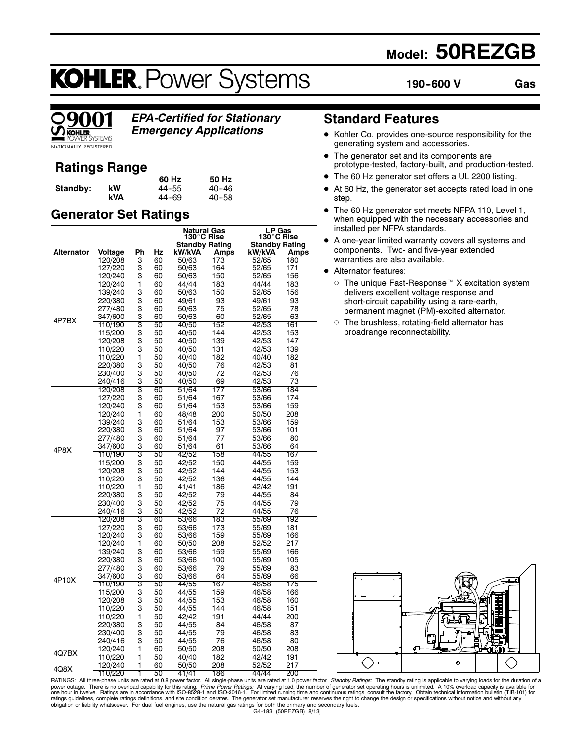## Model: 50REZGB

190--600 V Gas

# **KOHLER. Power Systems**



EPA-Certified for Stationary Emergency Applications

## Ratings Range

|          |     | 60 Hz | 50 Hz     |
|----------|-----|-------|-----------|
| Standby: | kW  | 44–55 | $40 - 46$ |
|          | kVA | 44-69 | $40 - 58$ |

## Generator Set Ratings

|            |         |                |    | Natural Gas                         |      | LP Gas<br>130°C Rise  |      |
|------------|---------|----------------|----|-------------------------------------|------|-----------------------|------|
|            |         |                |    | 130°C Rise<br><b>Standby Rating</b> |      | <b>Standby Rating</b> |      |
| Alternator | Voltage | Ph             | Hz | kW/kVA                              | Amps | kW/kVA                | Amps |
|            | 120/208 | З              | 60 | 50/63                               | 173  | 52/65                 | 180  |
|            | 127/220 | 3              | 60 | 50/63                               | 164  | 52/65                 | 171  |
|            | 120/240 | 3              | 60 | 50/63                               | 150  | 52/65                 | 156  |
|            | 120/240 | 1              | 60 | 44/44                               | 183  | 44/44                 | 183  |
|            | 139/240 | 3              | 60 | 50/63                               | 150  | 52/65                 | 156  |
|            | 220/380 | 3              | 60 | 49/61                               | 93   | 49/61                 | 93   |
|            | 277/480 | 3              | 60 | 50/63                               | 75   | 52/65                 | 78   |
| 4P7BX      | 347/600 | 3              | 60 | 50/63                               | 60   | 52/65                 | 63   |
|            | 110/190 | 3              | 50 | 40/50                               | 152  | 42/53                 | 161  |
|            | 115/200 | 3              | 50 | 40/50                               | 144  | 42/53                 | 153  |
|            | 120/208 | 3              | 50 | 40/50                               | 139  | 42/53                 | 147  |
|            | 110/220 | 3              | 50 | 40/50                               | 131  | 42/53                 | 139  |
|            | 110/220 | $\mathbf{1}$   | 50 | 40/40                               | 182  | 40/40                 | 182  |
|            | 220/380 | 3              | 50 | 40/50                               | 76   | 42/53                 | 81   |
|            | 230/400 | 3              | 50 | 40/50                               | 72   | 42/53                 | 76   |
|            | 240/416 | 3              | 50 | 40/50                               | 69   | 42/53                 | 73   |
|            | 120/208 | $\overline{3}$ | 60 | 51/64                               | 177  | 53/66                 | 184  |
|            | 127/220 | 3              | 60 | 51/64                               | 167  | 53/66                 | 174  |
|            | 120/240 | 3              | 60 | 51/64                               | 153  | 53/66                 | 159  |
|            | 120/240 | 1              | 60 | 48/48                               | 200  | 50/50                 | 208  |
|            | 139/240 | 3              | 60 | 51/64                               | 153  | 53/66                 | 159  |
|            | 220/380 | 3              | 60 | 51/64                               | 97   | 53/66                 | 101  |
|            | 277/480 | 3              | 60 | 51/64                               | 77   | 53/66                 | 80   |
| 4P8X       | 347/600 | 3              | 60 | 51/64                               | 61   | 53/66                 | 64   |
|            | 110/190 | 3              | 50 | 42/52                               | 158  | 44/55                 | 167  |
|            | 115/200 | 3              | 50 | 42/52                               | 150  | 44/55                 | 159  |
|            | 120/208 | 3              | 50 | 42/52                               | 144  | 44/55                 | 153  |
|            | 110/220 | 3              | 50 | 42/52                               | 136  | 44/55                 | 144  |
|            | 110/220 | $\mathbf{1}$   | 50 | 41/41                               | 186  | 42/42                 | 191  |
|            | 220/380 | 3              | 50 | 42/52                               | 79   | 44/55                 | 84   |
|            | 230/400 | 3              | 50 | 42/52                               | 75   | 44/55                 | 79   |
|            | 240/416 | 3              | 50 | 42/52                               | 72   | 44/55                 | 76   |
|            | 120/208 | 3              | 60 | 53/66                               | 183  | 55/69                 | 192  |
|            | 127/220 | 3              | 60 | 53/66                               | 173  | 55/69                 | 181  |
|            | 120/240 | 3              | 60 | 53/66                               | 159  | 55/69                 | 166  |
|            | 120/240 | 1              | 60 | 50/50                               | 208  | 52/52                 | 217  |
|            | 139/240 | 3              | 60 | 53/66                               | 159  | 55/69                 | 166  |
|            | 220/380 | 3              | 60 | 53/66                               | 100  | 55/69                 | 105  |
|            | 277/480 | 3              | 60 | 53/66                               | 79   | 55/69                 | 83   |
| 4P10X      | 347/600 | 3              | 60 | 53/66                               | 64   | 55/69                 | 66   |
|            | 110/190 | 3              | 50 | 44/55                               | 167  | 46/58                 | 175  |
|            | 115/200 | 3              | 50 | 44/55                               | 159  | 46/58                 | 166  |
|            | 120/208 | 3              | 50 | 44/55                               | 153  | 46/58                 | 160  |
|            | 110/220 | 3              | 50 | 44/55                               | 144  | 46/58                 | 151  |
|            | 110/220 | 1              | 50 | 42/42                               | 191  | 44/44                 | 200  |
|            | 220/380 | 3              | 50 | 44/55                               | 84   | 46/58                 | 87   |
|            | 230/400 | 3              | 50 | 44/55                               | 79   | 46/58                 | 83   |
|            | 240/416 | 3              | 50 | 44/55                               | 76   | 46/58                 | 80   |
| 4Q7BX      | 120/240 | 1              | 60 | 50/50                               | 208  | 50/50                 | 208  |
|            | 110/220 | 1              | 50 | 40/40                               | 182  | 42/42                 | 191  |
| 4Q8X       | 120/240 | ī              | 60 | 50/50                               | 208  | 52/52                 | 217  |
|            | 110/220 | ī              | 50 | 11/11                               | 186  | AA/AA                 | n∩c  |

## Standard Features

- Kohler Co. provides one-source responsibility for the generating system and accessories.
- The generator set and its components are prototype-tested, factory-built, and production-tested.
- The 60 Hz generator set offers a UL 2200 listing.
- - At 60 Hz, the generator set accepts rated load in one step.
- $\bullet$  The 60 Hz generator set meets NFPA 110, Level 1, when equipped with the necessary accessories and installed per NFPA standards.
- A one-year limited warranty covers all systems and components. Two- and five-year extended warranties are also available.
- Alternator features:
	- The unique Fast-Response  $M$  X excitation system delivers excellent voltage response and short-circuit capability using a rare-earth, permanent magnet (PM)-excited alternator.
	- $\circ$  The brushless, rotating-field alternator has broadrange reconnectability.



obligation or liability whatsoever. For dual fuel engines, use the natural gas ratings for both the primary and secondary fuels.<br>G4-183 (50REZGB) 8/13j  $110/220$  1 50 41/41 186 44/44 200<br>
RATINGS: All three-phase units are rated at 0.8 power factor. All single-phase units are rated at 1.0 power factor. *Standby Ratings*: The standby rating is applicable to varying loads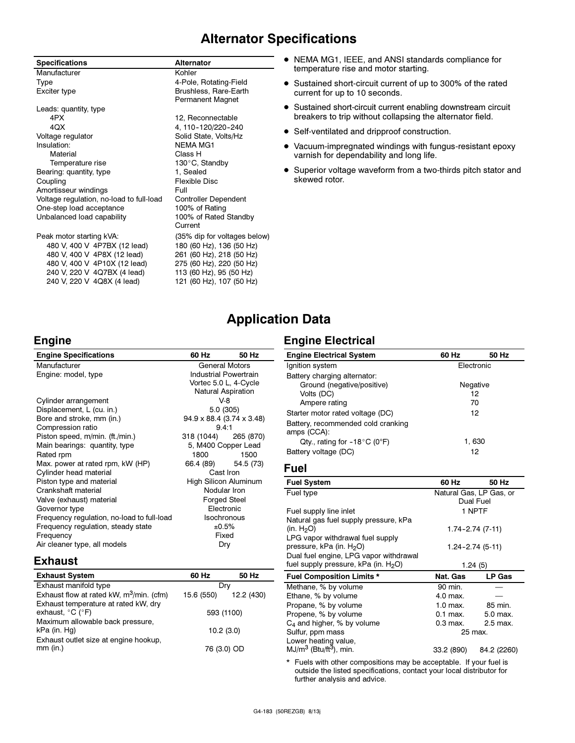## Alternator Specifications

| <b>Specifications</b>                    | <b>Alternator</b>            |
|------------------------------------------|------------------------------|
| Manufacturer                             | Kohler                       |
| Type                                     | 4-Pole, Rotating-Field       |
| Exciter type                             | Brushless, Rare-Earth        |
|                                          | Permanent Magnet             |
| Leads: quantity, type                    |                              |
| 4PX                                      | 12, Reconnectable            |
| 4QX                                      | 4, 110-120/220-240           |
| Voltage regulator                        | Solid State, Volts/Hz        |
| Insulation:                              | NFMA MG1                     |
| Material                                 | Class H                      |
| Temperature rise                         | 130°C, Standby               |
| Bearing: quantity, type                  | 1, Sealed                    |
| Coupling                                 | Flexible Disc                |
| Amortisseur windings                     | Full                         |
| Voltage regulation, no-load to full-load | Controller Dependent         |
| One-step load acceptance                 | 100% of Rating               |
| Unbalanced load capability               | 100% of Rated Standby        |
|                                          | Current                      |
| Peak motor starting kVA:                 | (35% dip for voltages below) |
| 480 V, 400 V 4P7BX (12 lead)             | 180 (60 Hz), 136 (50 Hz)     |
| 480 V, 400 V 4P8X (12 lead)              | 261 (60 Hz), 218 (50 Hz)     |
| 480 V, 400 V 4P10X (12 lead)             | 275 (60 Hz), 220 (50 Hz)     |
| 240 V, 220 V 4Q7BX (4 lead)              | 113 (60 Hz), 95 (50 Hz)      |
| 240 V, 220 V 4Q8X (4 lead)               | 121 (60 Hz), 107 (50 Hz)     |

- NEMA MG1, IEEE, and ANSI standards compliance for temperature rise and motor starting.
- Sustained short-circuit current of up to 300% of the rated current for up to 10 seconds.
- Sustained short-circuit current enabling downstream circuit breakers to trip without collapsing the alternator field.
- Self-ventilated and dripproof construction.
- Vacuum-impregnated windings with fungus-resistant epoxy varnish for dependability and long life.
- Superior voltage waveform from a two-thirds pitch stator and skewed rotor.

## Application Data

#### **Engine**

| <b>Engine Specifications</b>                  | 60 Hz               | 50 Hz                                   | <b>Engine E</b> |
|-----------------------------------------------|---------------------|-----------------------------------------|-----------------|
| <b>General Motors</b><br>Manufacturer         |                     |                                         | Ignition s      |
| Engine: model, type                           |                     | <b>Industrial Powertrain</b>            | Battery cl      |
|                                               |                     | Vortec 5.0 L, 4-Cycle                   | Grou            |
|                                               |                     | Natural Aspiration                      | Volts           |
| Cylinder arrangement                          |                     | V-8                                     | Ampe            |
| Displacement, L (cu. in.)                     |                     | 5.0 (305)                               | Starter m       |
| Bore and stroke, mm (in.)                     |                     | $94.9 \times 88.4$ (3.74 $\times$ 3.48) | Battery, re     |
| Compression ratio                             | 9.4:1               |                                         | amps (C0        |
| Piston speed, m/min. (ft./min.)               | 318 (1044)          | 265 (870)                               | Qty.,           |
| Main bearings: quantity, type                 | 5, M400 Copper Lead |                                         | Battery v       |
| Rated rpm<br>Max. power at rated rpm, kW (HP) | 1800<br>66.4 (89)   | 1500<br>54.5 (73)                       |                 |
| Cylinder head material                        |                     | Cast Iron                               | <b>Fuel</b>     |
| Piston type and material                      |                     | High Silicon Aluminum                   | <b>Fuel Sys</b> |
| Crankshaft material                           | Nodular Iron        |                                         |                 |
| Valve (exhaust) material                      |                     | <b>Forged Steel</b>                     | Fuel type       |
| Governor type                                 |                     | Electronic                              | Fuel supp       |
| Frequency regulation, no-load to full-load    |                     | <b>Isochronous</b>                      | Natural g       |
| Frequency regulation, steady state            |                     | ±0.5%                                   | (in. $H_2O$ )   |
| Frequency                                     |                     | Fixed                                   | LPG vapo        |
| Air cleaner type, all models                  |                     | Dry                                     | pressure,       |
|                                               |                     |                                         |                 |

## Engine Electrical

| <b>Engine Electrical System</b>                   | 60 Hz      | 50 Hz    |
|---------------------------------------------------|------------|----------|
| Ignition system                                   | Electronic |          |
| Battery charging alternator:                      |            |          |
| Ground (negative/positive)                        |            | Negative |
| Volts (DC)                                        |            | 12       |
| Ampere rating                                     |            | 70       |
| Starter motor rated voltage (DC)                  |            | 12       |
| Battery, recommended cold cranking<br>amps (CCA): |            |          |
| Qty., rating for $-18^{\circ}$ C (0°F)            |            | 1,630    |
| Battery voltage (DC)                              |            | 12       |

| <b>Fuel System</b>                               | 60 Hz                   | 50 Hz                |
|--------------------------------------------------|-------------------------|----------------------|
| Fuel type                                        | Natural Gas, LP Gas, or |                      |
|                                                  |                         | Dual Fuel            |
| Fuel supply line inlet                           |                         | 1 NPTF               |
| Natural gas fuel supply pressure, kPa            |                         |                      |
| (in. $H_2O$ )                                    |                         | $1.74 - 2.74$ (7-11) |
| LPG vapor withdrawal fuel supply                 |                         |                      |
| pressure, kPa (in. H <sub>2</sub> O)             |                         | 1.24-2.74 (5-11)     |
| Dual fuel engine, LPG vapor withdrawal           |                         |                      |
| fuel supply pressure, kPa (in. H <sub>2</sub> O) |                         | 1.24(5)              |
| <b>Fuel Composition Limits *</b>                 | Nat. Gas                | LP Gas               |
| Methane, % by volume                             | 90 min.                 |                      |
| Ethane, % by volume                              | 4.0 max.                |                      |
| Propane, % by volume                             | $1.0$ max.              | 85 min.              |
| Propene, % by volume                             | $0.1$ max.              | 5.0 max.             |
| $C_4$ and higher, % by volume                    | 0.3 max.                | 2.5 max.             |
| Sulfur, ppm mass                                 | 25 max.                 |                      |
| Lower heating value,                             |                         |                      |
| $MJ/m3$ (Btu/ft <sup>3</sup> ), min.             | 33.2 (890)              | 84.2 (2260)          |

\* Fuels with other compositions may be acceptable. If your fuel is outside the listed specifications, contact your local distributor for further analysis and advice.

#### Exhaust

| <b>Exhaust System</b>                                                         | 60 Hz      | 50 Hz      |
|-------------------------------------------------------------------------------|------------|------------|
| Exhaust manifold type                                                         | Drv        |            |
| Exhaust flow at rated kW, $m^3$ /min. (cfm)                                   | 15.6 (550) | 12.2 (430) |
| Exhaust temperature at rated kW, dry<br>exhaust, $^{\circ}$ C ( $^{\circ}$ F) | 593 (1100) |            |
| Maximum allowable back pressure,<br>kPa (in. Hg)                              | 10.2(3.0)  |            |
| Exhaust outlet size at engine hookup,<br>$mm$ (in.)                           | 76 (3.0)   |            |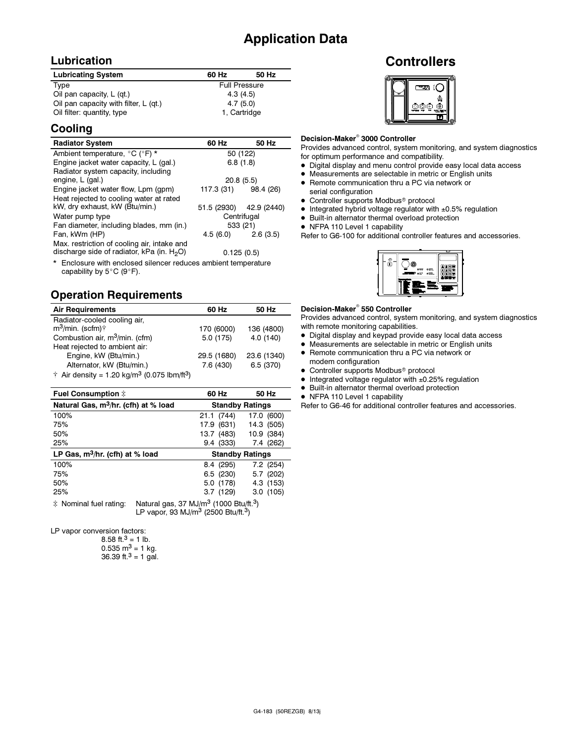## Application Data

#### Lubrication

| <b>Lubricating System</b>             | 60 Hz                | 50 Hz |
|---------------------------------------|----------------------|-------|
| Type                                  | <b>Full Pressure</b> |       |
| Oil pan capacity, $L$ (qt.)           | 4.3(4.5)             |       |
| Oil pan capacity with filter, L (qt.) | 4.7(5.0)             |       |
| Oil filter: quantity, type            | 1. Cartridge         |       |

#### Cooling

| <b>Radiator System</b>                                                                       | 60 Hz                   | 50 Hz |  |
|----------------------------------------------------------------------------------------------|-------------------------|-------|--|
| Ambient temperature, °C (°F) *                                                               | 50 (122)                |       |  |
| Engine jacket water capacity, L (gal.)                                                       | 6.8(1.8)                |       |  |
| Radiator system capacity, including                                                          |                         |       |  |
| engine, L (gal.)                                                                             | 20.8(5.5)               |       |  |
| Engine jacket water flow, Lpm (gpm)                                                          | 117.3 (31) 98.4 (26)    |       |  |
| Heat rejected to cooling water at rated                                                      |                         |       |  |
| kW, dry exhaust, kW (Btu/min.)                                                               | 51.5 (2930) 42.9 (2440) |       |  |
| Water pump type                                                                              | Centrifugal             |       |  |
| Fan diameter, including blades, mm (in.)                                                     | 533 (21)                |       |  |
| Fan, kWm (HP)                                                                                | $4.5(6.0)$ $2.6(3.5)$   |       |  |
| Max. restriction of cooling air, intake and<br>discharge side of radiator, kPa (in. $H_2O$ ) | 0.125(0.5)              |       |  |

\* Enclosure with enclosed silencer reduces ambient temperature capability by  $5^{\circ}$ C (9 $^{\circ}$ F).

## Operation Requirements

| <b>Air Requirements</b>                                                     | 60 Hz       | 50 Hz       |
|-----------------------------------------------------------------------------|-------------|-------------|
| Radiator-cooled cooling air,                                                |             |             |
| $m^3$ /min. (scfm) $\dagger$                                                | 170 (6000)  | 136 (4800)  |
| Combustion air, m <sup>3</sup> /min. (cfm)                                  | 5.0(175)    | 4.0(140)    |
| Heat rejected to ambient air:                                               |             |             |
| Engine, kW (Btu/min.)                                                       | 29.5 (1680) | 23.6 (1340) |
| Alternator, kW (Btu/min.)                                                   | 7.6(430)    | 6.5(370)    |
| $\dagger$ Air density = 1.20 kg/m <sup>3</sup> (0.075 lbm/ft <sup>3</sup> ) |             |             |

| Fuel Consumption $\ddagger$                      |                                                                                                                               |      | 60 Hz      | 50 Hz                  |
|--------------------------------------------------|-------------------------------------------------------------------------------------------------------------------------------|------|------------|------------------------|
| Natural Gas, m <sup>3</sup> /hr. (cfh) at % load |                                                                                                                               |      |            | <b>Standby Ratings</b> |
| 100%                                             |                                                                                                                               | 21.1 | (744)      | 17.0 (600)             |
| 75%                                              |                                                                                                                               | 17.9 | (631)      | 14.3 (505)             |
| 50%                                              |                                                                                                                               |      | 13.7 (483) | 10.9 (384)             |
| 25%                                              |                                                                                                                               |      | 9.4 (333)  | 7.4 (262)              |
| LP Gas, $m^3/hr$ . (cfh) at % load               |                                                                                                                               |      |            | <b>Standby Ratings</b> |
| 100%                                             |                                                                                                                               |      | 8.4 (295)  | $7.2$ (254)            |
| 75%                                              |                                                                                                                               |      | 6.5 (230)  | 5.7(202)               |
| 50%                                              |                                                                                                                               |      | 5.0 (178)  | 4.3 (153)              |
| 25%                                              |                                                                                                                               |      | 3.7(129)   | 3.0(105)               |
| * Nominal fuel rating:                           | Natural gas, 37 MJ/m <sup>3</sup> (1000 Btu/ft. <sup>3</sup> )<br>LP vapor, 93 MJ/m <sup>3</sup> (2500 Btu/ft. <sup>3</sup> ) |      |            |                        |

LP vapor conversion factors:<br>.8.58 ft.<sup>3</sup> = 1 lb

| 8.58 ft. <sup>3</sup> = 1 lb.        |
|--------------------------------------|
| $0.535 \text{ m}^3 = 1 \text{ kg}$ . |
| 36.39 ft. $3 = 1$ gal.               |

#### **Controllers**



### Decision-Maker<sup>®</sup> 3000 Controller

Provides advanced control, system monitoring, and system diagnostics for optimum performance and compatibility.

- Digital display and menu control provide easy local data access
- Measurements are selectable in metric or English units
- Remote communication thru a PC via network or serial configuration
- Controller supports Modbus<sup>®</sup> protocol
- Integrated hybrid voltage regulator with ±0.5% regulation
- Built-in alternator thermal overload protection
- NFPA 110 Level 1 capability

Refer to G6-100 for additional controller features and accessories.



## Decision-Maker<sup>®</sup> 550 Controller

Provides advanced control, system monitoring, and system diagnostics with remote monitoring capabilities.

- Digital display and keypad provide easy local data access
- Measurements are selectable in metric or English units
- Remote communication thru a PC via network or modem configuration
- Controller supports Modbus<sup>®</sup> protocol
- Integrated voltage regulator with ±0.25% regulation
- Built-in alternator thermal overload protection
- NFPA 110 Level 1 capability

Refer to G6-46 for additional controller features and accessories.